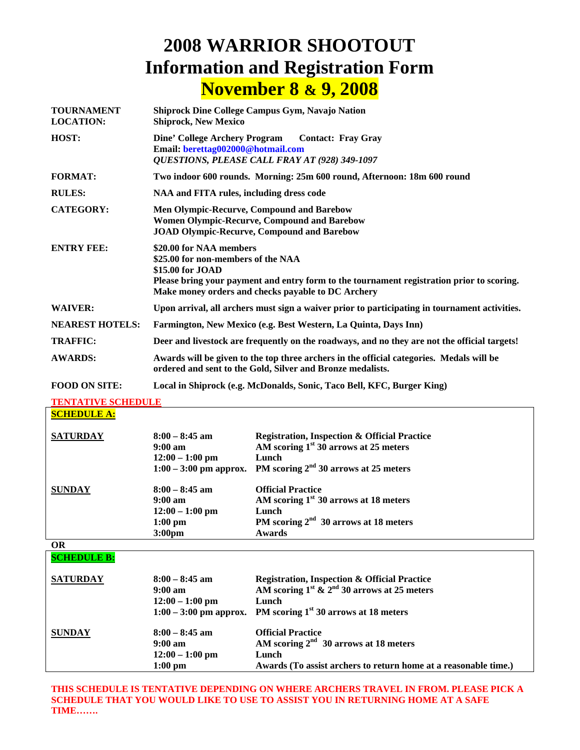## **2008 WARRIOR SHOOTOUT Information and Registration Form November 8 & 9, 2008**

| <b>TOURNAMENT</b><br><b>LOCATION:</b> | <b>Shiprock Dine College Campus Gym, Navajo Nation</b><br><b>Shiprock, New Mexico</b>                                                                                                                                                |  |
|---------------------------------------|--------------------------------------------------------------------------------------------------------------------------------------------------------------------------------------------------------------------------------------|--|
| HOST:                                 | <b>Dine' College Archery Program</b><br><b>Contact: Fray Gray</b><br>Email: berettag002000@hotmail.com<br>QUESTIONS, PLEASE CALL FRAY AT (928) 349-1097                                                                              |  |
| <b>FORMAT:</b>                        | Two indoor 600 rounds. Morning: 25m 600 round, Afternoon: 18m 600 round                                                                                                                                                              |  |
| <b>RULES:</b>                         | NAA and FITA rules, including dress code                                                                                                                                                                                             |  |
| <b>CATEGORY:</b>                      | Men Olympic-Recurve, Compound and Barebow<br><b>Women Olympic-Recurve, Compound and Barebow</b><br><b>JOAD Olympic-Recurve, Compound and Barebow</b>                                                                                 |  |
| <b>ENTRY FEE:</b>                     | \$20.00 for NAA members<br>\$25.00 for non-members of the NAA<br>\$15.00 for JOAD<br>Please bring your payment and entry form to the tournament registration prior to scoring.<br>Make money orders and checks payable to DC Archery |  |
| <b>WAIVER:</b>                        | Upon arrival, all archers must sign a waiver prior to participating in tournament activities.                                                                                                                                        |  |
| <b>NEAREST HOTELS:</b>                | Farmington, New Mexico (e.g. Best Western, La Quinta, Days Inn)                                                                                                                                                                      |  |
| <b>TRAFFIC:</b>                       | Deer and livestock are frequently on the roadways, and no they are not the official targets!                                                                                                                                         |  |
| <b>AWARDS:</b>                        | Awards will be given to the top three archers in the official categories. Medals will be<br>ordered and sent to the Gold, Silver and Bronze medalists.                                                                               |  |
| <b>FOOD ON SITE:</b>                  | Local in Shiprock (e.g. McDonalds, Sonic, Taco Bell, KFC, Burger King)                                                                                                                                                               |  |

**TENTATIVE SCHEDULE**

**SCHEDULE A:**

| <b>SATURDAY</b> | $8:00 - 8:45$ am<br>$9:00 \text{ am}$<br>$12:00 - 1:00$ pm                                            | <b>Registration, Inspection &amp; Official Practice</b><br>AM scoring $1st 30$ arrows at 25 meters<br>Lunch<br>1:00 – 3:00 pm approx. PM scoring $2nd$ 30 arrows at 25 meters |
|-----------------|-------------------------------------------------------------------------------------------------------|-------------------------------------------------------------------------------------------------------------------------------------------------------------------------------|
| <b>SUNDAY</b>   | $8:00 - 8:45$ am<br>$9:00 \text{ am}$<br>$12:00 - 1:00$ pm<br>$1:00 \text{ pm}$<br>3:00 <sub>pm</sub> | <b>Official Practice</b><br>AM scoring $1st$ 30 arrows at 18 meters<br>Lunch<br>PM scoring $2nd$ 30 arrows at 18 meters<br><b>Awards</b>                                      |

**OR** 

**SCHEDULE B:**

| <b>SATURDAY</b> | $8:00 - 8:45$ am<br>$9:00 \text{ am}$<br>$12:00 - 1:00$ pm              | <b>Registration, Inspection &amp; Official Practice</b><br>AM scoring $1^{st}$ & $2^{nd}$ 30 arrows at 25 meters<br>Lunch<br>1:00 – 3:00 pm approx. PM scoring $1^{st}$ 30 arrows at 18 meters |
|-----------------|-------------------------------------------------------------------------|------------------------------------------------------------------------------------------------------------------------------------------------------------------------------------------------|
| <b>SUNDAY</b>   | $8:00 - 8:45$ am<br>$9:00 \text{ am}$<br>$12:00 - 1:00$ pm<br>$1:00$ pm | <b>Official Practice</b><br>AM scoring $2nd$ 30 arrows at 18 meters<br>Lunch<br>Awards (To assist archers to return home at a reasonable time.)                                                |

**THIS SCHEDULE IS TENTATIVE DEPENDING ON WHERE ARCHERS TRAVEL IN FROM. PLEASE PICK A SCHEDULE THAT YOU WOULD LIKE TO USE TO ASSIST YOU IN RETURNING HOME AT A SAFE TIME…….**